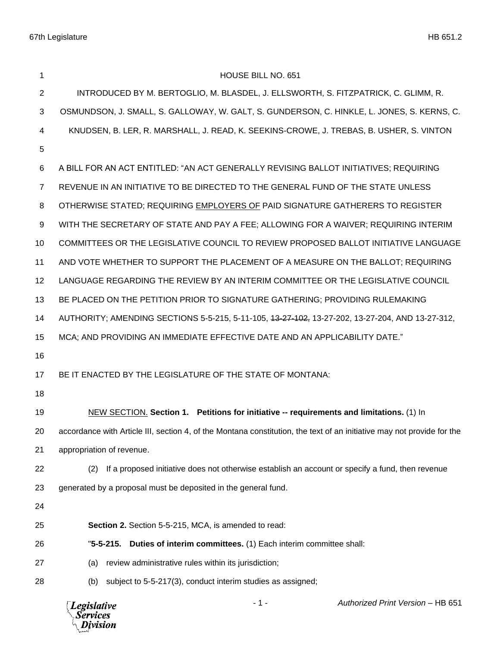| 1              | HOUSE BILL NO. 651                                                                                                     |
|----------------|------------------------------------------------------------------------------------------------------------------------|
| 2              | INTRODUCED BY M. BERTOGLIO, M. BLASDEL, J. ELLSWORTH, S. FITZPATRICK, C. GLIMM, R.                                     |
| 3              | OSMUNDSON, J. SMALL, S. GALLOWAY, W. GALT, S. GUNDERSON, C. HINKLE, L. JONES, S. KERNS, C.                             |
| 4              | KNUDSEN, B. LER, R. MARSHALL, J. READ, K. SEEKINS-CROWE, J. TREBAS, B. USHER, S. VINTON                                |
| 5              |                                                                                                                        |
| 6              | A BILL FOR AN ACT ENTITLED: "AN ACT GENERALLY REVISING BALLOT INITIATIVES; REQUIRING                                   |
| $\overline{7}$ | REVENUE IN AN INITIATIVE TO BE DIRECTED TO THE GENERAL FUND OF THE STATE UNLESS                                        |
| 8              | OTHERWISE STATED; REQUIRING EMPLOYERS OF PAID SIGNATURE GATHERERS TO REGISTER                                          |
| 9              | WITH THE SECRETARY OF STATE AND PAY A FEE; ALLOWING FOR A WAIVER; REQUIRING INTERIM                                    |
| 10             | COMMITTEES OR THE LEGISLATIVE COUNCIL TO REVIEW PROPOSED BALLOT INITIATIVE LANGUAGE                                    |
| 11             | AND VOTE WHETHER TO SUPPORT THE PLACEMENT OF A MEASURE ON THE BALLOT; REQUIRING                                        |
| 12             | LANGUAGE REGARDING THE REVIEW BY AN INTERIM COMMITTEE OR THE LEGISLATIVE COUNCIL                                       |
| 13             | BE PLACED ON THE PETITION PRIOR TO SIGNATURE GATHERING; PROVIDING RULEMAKING                                           |
| 14             | AUTHORITY; AMENDING SECTIONS 5-5-215, 5-11-105, 43-27-402, 13-27-202, 13-27-204, AND 13-27-312,                        |
| 15             | MCA; AND PROVIDING AN IMMEDIATE EFFECTIVE DATE AND AN APPLICABILITY DATE."                                             |
| 16             |                                                                                                                        |
| 17             | BE IT ENACTED BY THE LEGISLATURE OF THE STATE OF MONTANA:                                                              |
| 18             |                                                                                                                        |
| 19             | NEW SECTION. Section 1. Petitions for initiative -- requirements and limitations. (1) In                               |
| 20             | accordance with Article III, section 4, of the Montana constitution, the text of an initiative may not provide for the |
| 21             | appropriation of revenue.                                                                                              |
| 22             | If a proposed initiative does not otherwise establish an account or specify a fund, then revenue<br>(2)                |
| 23             | generated by a proposal must be deposited in the general fund.                                                         |
| 24             |                                                                                                                        |
| 25             | <b>Section 2.</b> Section 5-5-215, MCA, is amended to read:                                                            |
| 26             | $"5-5-215.$<br>Duties of interim committees. (1) Each interim committee shall:                                         |
| 27             | review administrative rules within its jurisdiction;<br>(a)                                                            |
| 28             | subject to 5-5-217(3), conduct interim studies as assigned;<br>(b)                                                     |
|                |                                                                                                                        |

*Legislative*<br>Services<br>*Division*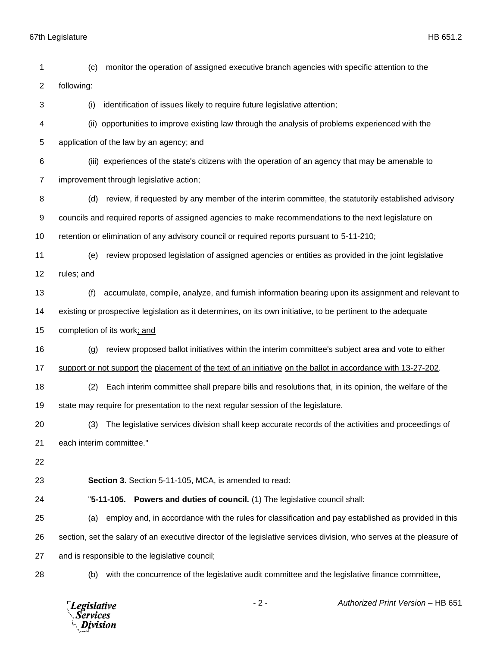| 1              | monitor the operation of assigned executive branch agencies with specific attention to the<br>(c)                    |
|----------------|----------------------------------------------------------------------------------------------------------------------|
| $\overline{c}$ | following:                                                                                                           |
| 3              | identification of issues likely to require future legislative attention;<br>(i)                                      |
| 4              | (ii) opportunities to improve existing law through the analysis of problems experienced with the                     |
| 5              | application of the law by an agency; and                                                                             |
| 6              | (iii) experiences of the state's citizens with the operation of an agency that may be amenable to                    |
| $\overline{7}$ | improvement through legislative action;                                                                              |
| 8              | review, if requested by any member of the interim committee, the statutorily established advisory<br>(d)             |
| 9              | councils and required reports of assigned agencies to make recommendations to the next legislature on                |
| 10             | retention or elimination of any advisory council or required reports pursuant to 5-11-210;                           |
| 11             | review proposed legislation of assigned agencies or entities as provided in the joint legislative<br>(e)             |
| 12             | rules; and                                                                                                           |
| 13             | (f)<br>accumulate, compile, analyze, and furnish information bearing upon its assignment and relevant to             |
| 14             | existing or prospective legislation as it determines, on its own initiative, to be pertinent to the adequate         |
| 15             | completion of its work; and                                                                                          |
| 16             | review proposed ballot initiatives within the interim committee's subject area and vote to either<br>(q)             |
| 17             | support or not support the placement of the text of an initiative on the ballot in accordance with 13-27-202.        |
| 18             | Each interim committee shall prepare bills and resolutions that, in its opinion, the welfare of the<br>(2)           |
| 19             | state may require for presentation to the next regular session of the legislature.                                   |
| 20             | (3)<br>The legislative services division shall keep accurate records of the activities and proceedings of            |
| 21             | each interim committee."                                                                                             |
| 22             |                                                                                                                      |
| 23             | Section 3. Section 5-11-105, MCA, is amended to read:                                                                |
| 24             | "5-11-105. Powers and duties of council. (1) The legislative council shall:                                          |
| 25             | employ and, in accordance with the rules for classification and pay established as provided in this<br>(a)           |
| 26             | section, set the salary of an executive director of the legislative services division, who serves at the pleasure of |
| 27             | and is responsible to the legislative council;                                                                       |
| 28             | with the concurrence of the legislative audit committee and the legislative finance committee,<br>(b)                |
|                |                                                                                                                      |

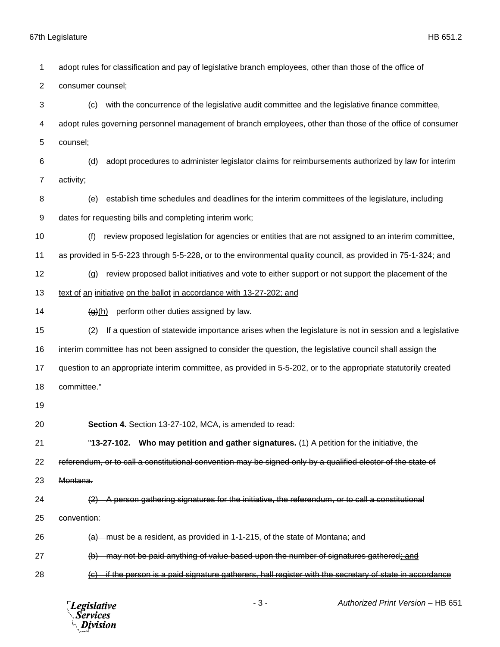adopt rules for classification and pay of legislative branch employees, other than those of the office of consumer counsel; (c) with the concurrence of the legislative audit committee and the legislative finance committee, adopt rules governing personnel management of branch employees, other than those of the office of consumer counsel; (d) adopt procedures to administer legislator claims for reimbursements authorized by law for interim activity; (e) establish time schedules and deadlines for the interim committees of the legislature, including dates for requesting bills and completing interim work; (f) review proposed legislation for agencies or entities that are not assigned to an interim committee, as provided in 5-5-223 through 5-5-228, or to the environmental quality council, as provided in 75-1-324; and 12 (g) review proposed ballot initiatives and vote to either support or not support the placement of the text of an initiative on the ballot in accordance with 13-27-202; and  $\left(\frac{q}{r}\right)$  perform other duties assigned by law. (2) If a question of statewide importance arises when the legislature is not in session and a legislative interim committee has not been assigned to consider the question, the legislative council shall assign the question to an appropriate interim committee, as provided in 5-5-202, or to the appropriate statutorily created committee." **Section 4.** Section 13-27-102, MCA, is amended to read: "**13-27-102. Who may petition and gather signatures.** (1) A petition for the initiative, the referendum, or to call a constitutional convention may be signed only by a qualified elector of the state of Montana. (2) A person gathering signatures for the initiative, the referendum, or to call a constitutional convention: 26 (a) must be a resident, as provided in 1-1-215, of the state of Montana; and (b) may not be paid anything of value based upon the number of signatures gathered; and (c) if the person is a paid signature gatherers, hall register with the secretary of state in accordance

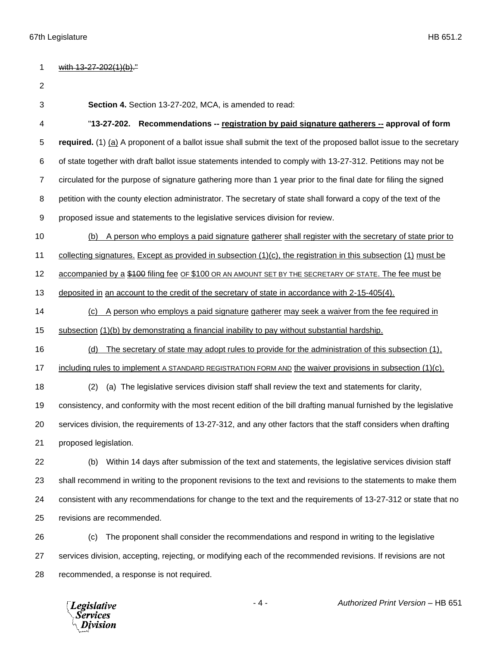| 1  | with 13-27-202(1)(b)."                                                                                               |
|----|----------------------------------------------------------------------------------------------------------------------|
| 2  |                                                                                                                      |
| 3  | Section 4. Section 13-27-202, MCA, is amended to read:                                                               |
| 4  | "13-27-202. Recommendations -- registration by paid signature gatherers -- approval of form                          |
| 5  | required. (1) (a) A proponent of a ballot issue shall submit the text of the proposed ballot issue to the secretary  |
| 6  | of state together with draft ballot issue statements intended to comply with 13-27-312. Petitions may not be         |
| 7  | circulated for the purpose of signature gathering more than 1 year prior to the final date for filing the signed     |
| 8  | petition with the county election administrator. The secretary of state shall forward a copy of the text of the      |
| 9  | proposed issue and statements to the legislative services division for review.                                       |
| 10 | A person who employs a paid signature gatherer shall register with the secretary of state prior to<br>(b)            |
| 11 | collecting signatures. Except as provided in subsection $(1)(c)$ , the registration in this subsection $(1)$ must be |
| 12 | accompanied by a \$100 filing fee OF \$100 OR AN AMOUNT SET BY THE SECRETARY OF STATE. The fee must be               |
| 13 | deposited in an account to the credit of the secretary of state in accordance with 2-15-405(4).                      |
| 14 | (c) A person who employs a paid signature gatherer may seek a waiver from the fee required in                        |
| 15 | subsection (1)(b) by demonstrating a financial inability to pay without substantial hardship.                        |
| 16 | The secretary of state may adopt rules to provide for the administration of this subsection (1),<br>(d)              |
| 17 | including rules to implement A STANDARD REGISTRATION FORM AND the waiver provisions in subsection $(1)(c)$ .         |
| 18 | (a) The legislative services division staff shall review the text and statements for clarity,<br>(2)                 |
| 19 | consistency, and conformity with the most recent edition of the bill drafting manual furnished by the legislative    |
| 20 | services division, the requirements of 13-27-312, and any other factors that the staff considers when drafting       |
| 21 | proposed legislation.                                                                                                |
| 22 | Within 14 days after submission of the text and statements, the legislative services division staff<br>(b)           |
| 23 | shall recommend in writing to the proponent revisions to the text and revisions to the statements to make them       |
| 24 | consistent with any recommendations for change to the text and the requirements of 13-27-312 or state that no        |
| 25 | revisions are recommended.                                                                                           |
| 26 | The proponent shall consider the recommendations and respond in writing to the legislative<br>(c)                    |
| 27 | services division, accepting, rejecting, or modifying each of the recommended revisions. If revisions are not        |
| 28 | recommended, a response is not required.                                                                             |
|    |                                                                                                                      |

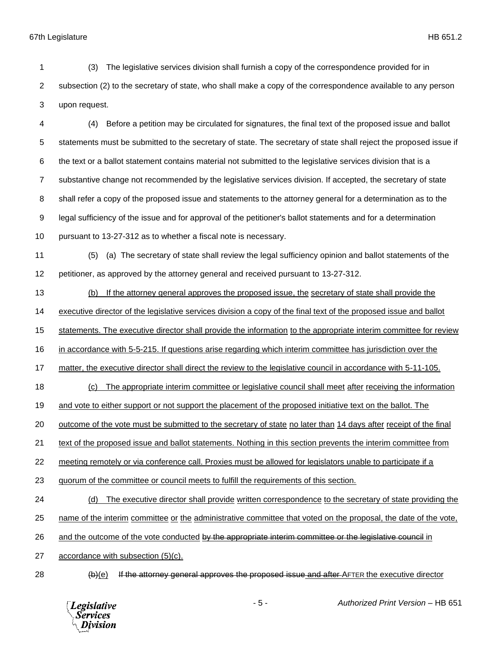(3) The legislative services division shall furnish a copy of the correspondence provided for in subsection (2) to the secretary of state, who shall make a copy of the correspondence available to any person upon request.

 (4) Before a petition may be circulated for signatures, the final text of the proposed issue and ballot statements must be submitted to the secretary of state. The secretary of state shall reject the proposed issue if the text or a ballot statement contains material not submitted to the legislative services division that is a substantive change not recommended by the legislative services division. If accepted, the secretary of state shall refer a copy of the proposed issue and statements to the attorney general for a determination as to the legal sufficiency of the issue and for approval of the petitioner's ballot statements and for a determination pursuant to 13-27-312 as to whether a fiscal note is necessary.

- (5) (a) The secretary of state shall review the legal sufficiency opinion and ballot statements of the petitioner, as approved by the attorney general and received pursuant to 13-27-312.
- (b) If the attorney general approves the proposed issue, the secretary of state shall provide the

executive director of the legislative services division a copy of the final text of the proposed issue and ballot

statements. The executive director shall provide the information to the appropriate interim committee for review

in accordance with 5-5-215. If questions arise regarding which interim committee has jurisdiction over the

matter, the executive director shall direct the review to the legislative council in accordance with 5-11-105.

- 18 (c) The appropriate interim committee or legislative council shall meet after receiving the information
- and vote to either support or not support the placement of the proposed initiative text on the ballot. The
- outcome of the vote must be submitted to the secretary of state no later than 14 days after receipt of the final

text of the proposed issue and ballot statements. Nothing in this section prevents the interim committee from

- meeting remotely or via conference call. Proxies must be allowed for legislators unable to participate if a
- quorum of the committee or council meets to fulfill the requirements of this section.
- (d) The executive director shall provide written correspondence to the secretary of state providing the
- name of the interim committee or the administrative committee that voted on the proposal, the date of the vote,
- 26 and the outcome of the vote conducted by the appropriate interim committee or the legislative council in
- accordance with subsection (5)(c).
- 

28 (b)(e) If the attorney general approves the proposed issue and after AFTER the executive director

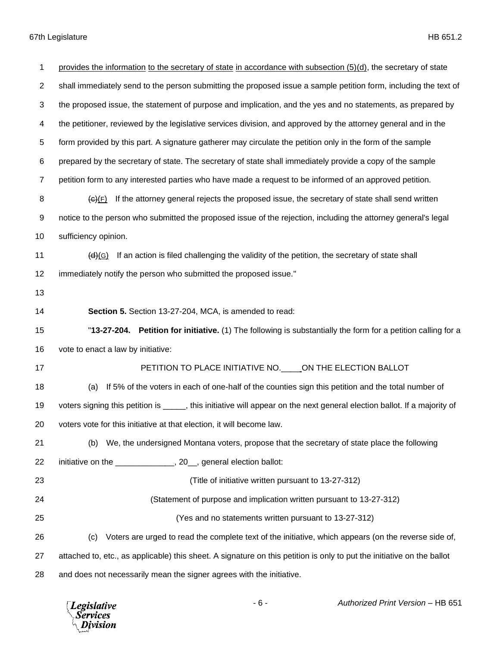| 1              | provides the information to the secretary of state in accordance with subsection (5)(d), the secretary of state          |
|----------------|--------------------------------------------------------------------------------------------------------------------------|
| $\overline{c}$ | shall immediately send to the person submitting the proposed issue a sample petition form, including the text of         |
| 3              | the proposed issue, the statement of purpose and implication, and the yes and no statements, as prepared by              |
| 4              | the petitioner, reviewed by the legislative services division, and approved by the attorney general and in the           |
| 5              | form provided by this part. A signature gatherer may circulate the petition only in the form of the sample               |
| 6              | prepared by the secretary of state. The secretary of state shall immediately provide a copy of the sample                |
| $\overline{7}$ | petition form to any interested parties who have made a request to be informed of an approved petition.                  |
| 8              | If the attorney general rejects the proposed issue, the secretary of state shall send written<br>$\overline{(G)(F)}$     |
| 9              | notice to the person who submitted the proposed issue of the rejection, including the attorney general's legal           |
| 10             | sufficiency opinion.                                                                                                     |
| 11             | If an action is filed challenging the validity of the petition, the secretary of state shall<br>(d)(G)                   |
| 12             | immediately notify the person who submitted the proposed issue."                                                         |
| 13             |                                                                                                                          |
| 14             | Section 5. Section 13-27-204, MCA, is amended to read:                                                                   |
|                |                                                                                                                          |
| 15             | "13-27-204. Petition for initiative. (1) The following is substantially the form for a petition calling for a            |
| 16             | vote to enact a law by initiative:                                                                                       |
| 17             | PETITION TO PLACE INITIATIVE NO. _____ ON THE ELECTION BALLOT                                                            |
| 18             | If 5% of the voters in each of one-half of the counties sign this petition and the total number of<br>(a)                |
| 19             | voters signing this petition is _____, this initiative will appear on the next general election ballot. If a majority of |
| 20             | voters vote for this initiative at that election, it will become law.                                                    |
| 21             | We, the undersigned Montana voters, propose that the secretary of state place the following<br>(b)                       |
| 22             | initiative on the ________________, 20_, general election ballot:                                                        |
| 23             | (Title of initiative written pursuant to 13-27-312)                                                                      |
| 24             | (Statement of purpose and implication written pursuant to 13-27-312)                                                     |
| 25             | (Yes and no statements written pursuant to 13-27-312)                                                                    |
| 26             | Voters are urged to read the complete text of the initiative, which appears (on the reverse side of,<br>(c)              |
| 27             | attached to, etc., as applicable) this sheet. A signature on this petition is only to put the initiative on the ballot   |

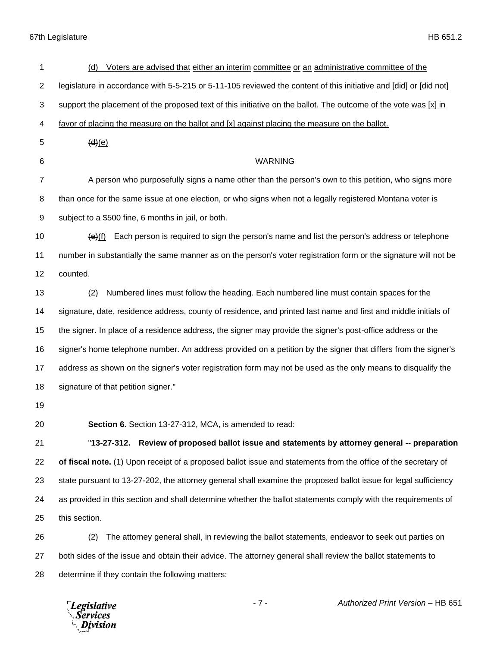| 1              | Voters are advised that either an interim committee or an administrative committee of the<br>(d)                  |
|----------------|-------------------------------------------------------------------------------------------------------------------|
| 2              | legislature in accordance with 5-5-215 or 5-11-105 reviewed the content of this initiative and [did] or [did not] |
| 3              | support the placement of the proposed text of this initiative on the ballot. The outcome of the vote was [x] in   |
| 4              | favor of placing the measure on the ballot and [x] against placing the measure on the ballot.                     |
| 5              | (d)(e)                                                                                                            |
| 6              | <b>WARNING</b>                                                                                                    |
| $\overline{7}$ | A person who purposefully signs a name other than the person's own to this petition, who signs more               |
| 8              | than once for the same issue at one election, or who signs when not a legally registered Montana voter is         |
| 9              | subject to a \$500 fine, 6 months in jail, or both.                                                               |
| 10             | Each person is required to sign the person's name and list the person's address or telephone<br>(e)(f)            |
| 11             | number in substantially the same manner as on the person's voter registration form or the signature will not be   |
| 12             | counted.                                                                                                          |
| 13             | Numbered lines must follow the heading. Each numbered line must contain spaces for the<br>(2)                     |
| 14             | signature, date, residence address, county of residence, and printed last name and first and middle initials of   |
| 15             | the signer. In place of a residence address, the signer may provide the signer's post-office address or the       |
| 16             | signer's home telephone number. An address provided on a petition by the signer that differs from the signer's    |
| 17             | address as shown on the signer's voter registration form may not be used as the only means to disqualify the      |
| 18             | signature of that petition signer."                                                                               |
| 19             |                                                                                                                   |
| 20             | Section 6. Section 13-27-312, MCA, is amended to read:                                                            |
| 21             | "13-27-312. Review of proposed ballot issue and statements by attorney general -- preparation                     |
| 22             | of fiscal note. (1) Upon receipt of a proposed ballot issue and statements from the office of the secretary of    |
| 23             | state pursuant to 13-27-202, the attorney general shall examine the proposed ballot issue for legal sufficiency   |
| 24             | as provided in this section and shall determine whether the ballot statements comply with the requirements of     |
| 25             | this section.                                                                                                     |
| 26             | The attorney general shall, in reviewing the ballot statements, endeavor to seek out parties on<br>(2)            |
| 27             | both sides of the issue and obtain their advice. The attorney general shall review the ballot statements to       |
| 28             | determine if they contain the following matters:                                                                  |



- 7 - *Authorized Print Version* – HB 651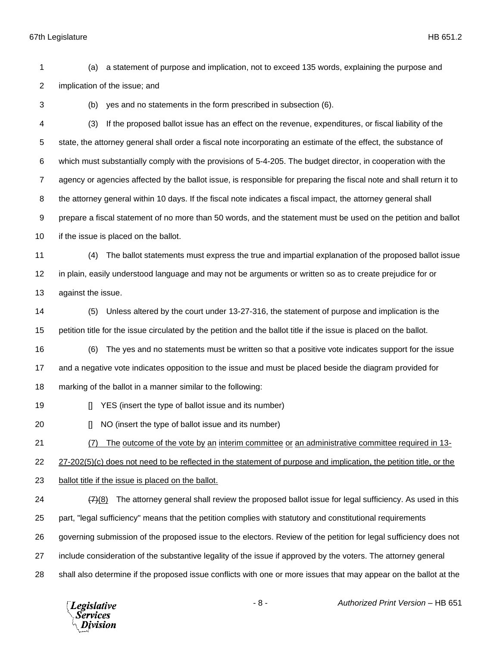(a) a statement of purpose and implication, not to exceed 135 words, explaining the purpose and implication of the issue; and

(b) yes and no statements in the form prescribed in subsection (6).

 (3) If the proposed ballot issue has an effect on the revenue, expenditures, or fiscal liability of the state, the attorney general shall order a fiscal note incorporating an estimate of the effect, the substance of which must substantially comply with the provisions of 5-4-205. The budget director, in cooperation with the agency or agencies affected by the ballot issue, is responsible for preparing the fiscal note and shall return it to the attorney general within 10 days. If the fiscal note indicates a fiscal impact, the attorney general shall prepare a fiscal statement of no more than 50 words, and the statement must be used on the petition and ballot 10 if the issue is placed on the ballot.

 (4) The ballot statements must express the true and impartial explanation of the proposed ballot issue in plain, easily understood language and may not be arguments or written so as to create prejudice for or against the issue.

 (5) Unless altered by the court under 13-27-316, the statement of purpose and implication is the petition title for the issue circulated by the petition and the ballot title if the issue is placed on the ballot.

(6) The yes and no statements must be written so that a positive vote indicates support for the issue

and a negative vote indicates opposition to the issue and must be placed beside the diagram provided for

marking of the ballot in a manner similar to the following:

**I** YES (insert the type of ballot issue and its number)

**I** NO (insert the type of ballot issue and its number)

(7) The outcome of the vote by an interim committee or an administrative committee required in 13-

27-202(5)(c) does not need to be reflected in the statement of purpose and implication, the petition title, or the

ballot title if the issue is placed on the ballot.

 $(7)$ (8) The attorney general shall review the proposed ballot issue for legal sufficiency. As used in this part, "legal sufficiency" means that the petition complies with statutory and constitutional requirements governing submission of the proposed issue to the electors. Review of the petition for legal sufficiency does not

include consideration of the substantive legality of the issue if approved by the voters. The attorney general

shall also determine if the proposed issue conflicts with one or more issues that may appear on the ballot at the